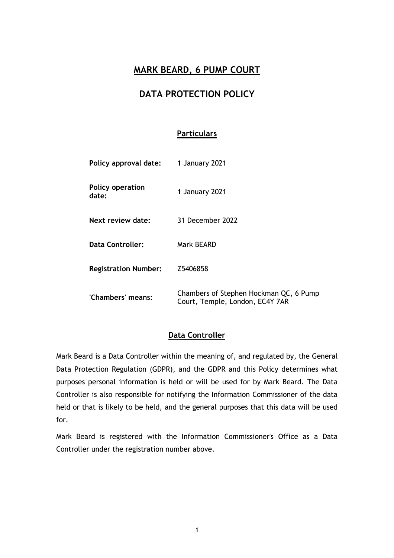## **MARK BEARD, 6 PUMP COURT**

## **DATA PROTECTION POLICY**

#### **Particulars**

| Policy approval date:            | 1 January 2021                                                            |
|----------------------------------|---------------------------------------------------------------------------|
| <b>Policy operation</b><br>date: | 1 January 2021                                                            |
| Next review date:                | 31 December 2022                                                          |
| <b>Data Controller:</b>          | Mark BEARD                                                                |
| <b>Registration Number:</b>      | Z5406858                                                                  |
| 'Chambers' means:                | Chambers of Stephen Hockman QC, 6 Pump<br>Court, Temple, London, EC4Y 7AR |

#### **Data Controller**

Mark Beard is a Data Controller within the meaning of, and regulated by, the General Data Protection Regulation (GDPR), and the GDPR and this Policy determines what purposes personal information is held or will be used for by Mark Beard. The Data Controller is also responsible for notifying the Information Commissioner of the data held or that is likely to be held, and the general purposes that this data will be used for.

Mark Beard is registered with the Information Commissioner's Office as a Data Controller under the registration number above.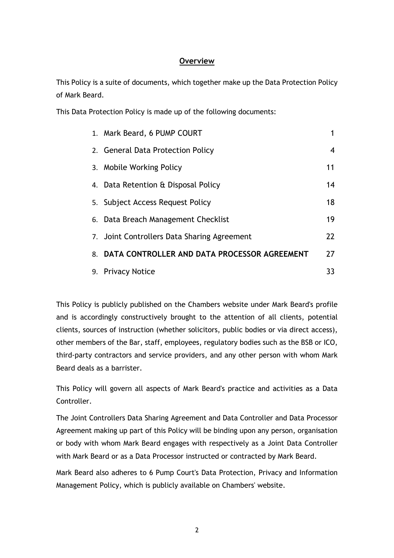### **Overview**

This Policy is a suite of documents, which together make up the Data Protection Policy of Mark Beard.

This Data Protection Policy is made up of the following documents:

|    | 1. Mark Beard, 6 PUMP COURT                  |    |
|----|----------------------------------------------|----|
|    | 2. General Data Protection Policy            | 4  |
|    | 3. Mobile Working Policy                     | 11 |
|    | 4. Data Retention & Disposal Policy          | 14 |
|    | 5. Subject Access Request Policy             | 18 |
|    | 6. Data Breach Management Checklist          | 19 |
|    | 7. Joint Controllers Data Sharing Agreement  | 22 |
| 8. | DATA CONTROLLER AND DATA PROCESSOR AGREEMENT | 27 |
|    | 9. Privacy Notice                            | 33 |

This Policy is publicly published on the Chambers website under Mark Beard's profile and is accordingly constructively brought to the attention of all clients, potential clients, sources of instruction (whether solicitors, public bodies or via direct access), other members of the Bar, staff, employees, regulatory bodies such as the BSB or ICO, third-party contractors and service providers, and any other person with whom Mark Beard deals as a barrister.

This Policy will govern all aspects of Mark Beard's practice and activities as a Data Controller.

The Joint Controllers Data Sharing Agreement and Data Controller and Data Processor Agreement making up part of this Policy will be binding upon any person, organisation or body with whom Mark Beard engages with respectively as a Joint Data Controller with Mark Beard or as a Data Processor instructed or contracted by Mark Beard.

Mark Beard also adheres to 6 Pump Court's Data Protection, Privacy and Information Management Policy, which is publicly available on Chambers' website.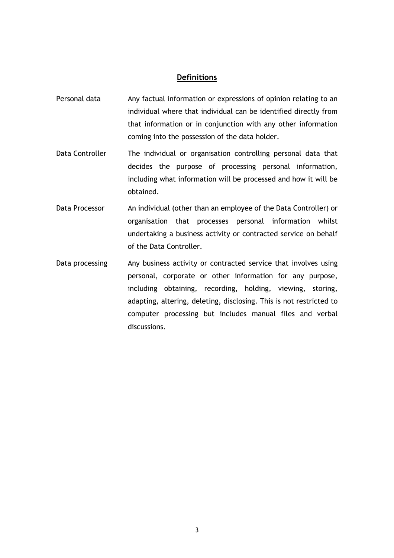#### **Definitions**

- Personal data Any factual information or expressions of opinion relating to an individual where that individual can be identified directly from that information or in conjunction with any other information coming into the possession of the data holder.
- Data Controller The individual or organisation controlling personal data that decides the purpose of processing personal information, including what information will be processed and how it will be obtained.
- Data Processor An individual (other than an employee of the Data Controller) or organisation that processes personal information whilst undertaking a business activity or contracted service on behalf of the Data Controller.
- Data processing Any business activity or contracted service that involves using personal, corporate or other information for any purpose, including obtaining, recording, holding, viewing, storing, adapting, altering, deleting, disclosing. This is not restricted to computer processing but includes manual files and verbal discussions.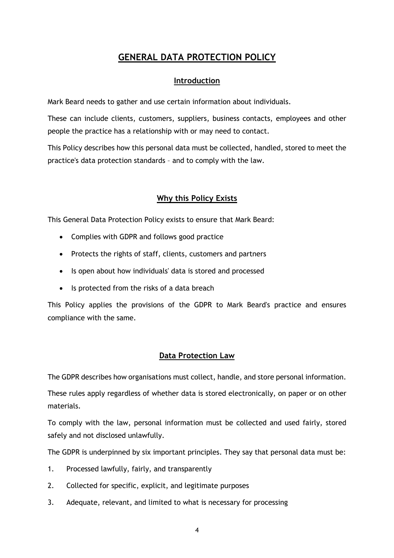# **GENERAL DATA PROTECTION POLICY**

### **Introduction**

Mark Beard needs to gather and use certain information about individuals.

These can include clients, customers, suppliers, business contacts, employees and other people the practice has a relationship with or may need to contact.

This Policy describes how this personal data must be collected, handled, stored to meet the practice's data protection standards – and to comply with the law.

### **Why this Policy Exists**

This General Data Protection Policy exists to ensure that Mark Beard:

- Complies with GDPR and follows good practice
- Protects the rights of staff, clients, customers and partners
- Is open about how individuals' data is stored and processed
- Is protected from the risks of a data breach

This Policy applies the provisions of the GDPR to Mark Beard's practice and ensures compliance with the same.

### **Data Protection Law**

The GDPR describes how organisations must collect, handle, and store personal information.

These rules apply regardless of whether data is stored electronically, on paper or on other materials.

To comply with the law, personal information must be collected and used fairly, stored safely and not disclosed unlawfully.

The GDPR is underpinned by six important principles. They say that personal data must be:

- 1. Processed lawfully, fairly, and transparently
- 2. Collected for specific, explicit, and legitimate purposes
- 3. Adequate, relevant, and limited to what is necessary for processing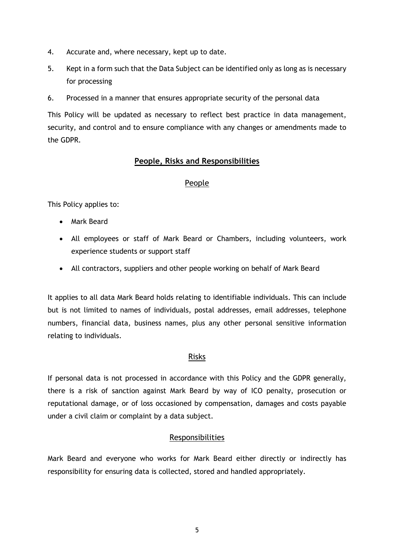- 4. Accurate and, where necessary, kept up to date.
- 5. Kept in a form such that the Data Subject can be identified only as long as is necessary for processing
- 6. Processed in a manner that ensures appropriate security of the personal data

This Policy will be updated as necessary to reflect best practice in data management, security, and control and to ensure compliance with any changes or amendments made to the GDPR.

#### **People, Risks and Responsibilities**

#### People

This Policy applies to:

- Mark Beard
- All employees or staff of Mark Beard or Chambers, including volunteers, work experience students or support staff
- All contractors, suppliers and other people working on behalf of Mark Beard

It applies to all data Mark Beard holds relating to identifiable individuals. This can include but is not limited to names of individuals, postal addresses, email addresses, telephone numbers, financial data, business names, plus any other personal sensitive information relating to individuals.

#### Risks

If personal data is not processed in accordance with this Policy and the GDPR generally, there is a risk of sanction against Mark Beard by way of ICO penalty, prosecution or reputational damage, or of loss occasioned by compensation, damages and costs payable under a civil claim or complaint by a data subject.

#### Responsibilities

Mark Beard and everyone who works for Mark Beard either directly or indirectly has responsibility for ensuring data is collected, stored and handled appropriately.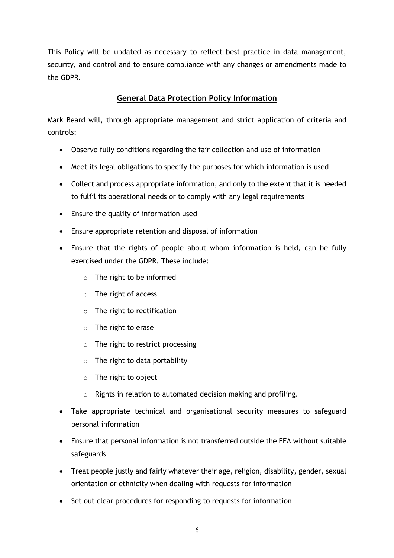This Policy will be updated as necessary to reflect best practice in data management, security, and control and to ensure compliance with any changes or amendments made to the GDPR.

### **General Data Protection Policy Information**

Mark Beard will, through appropriate management and strict application of criteria and controls:

- Observe fully conditions regarding the fair collection and use of information
- Meet its legal obligations to specify the purposes for which information is used
- Collect and process appropriate information, and only to the extent that it is needed to fulfil its operational needs or to comply with any legal requirements
- Ensure the quality of information used
- Ensure appropriate retention and disposal of information
- Ensure that the rights of people about whom information is held, can be fully exercised under the GDPR. These include:
	- o The right to be informed
	- o The right of access
	- o The right to rectification
	- o The right to erase
	- o The right to restrict processing
	- $\circ$  The right to data portability
	- o The right to object
	- o Rights in relation to automated decision making and profiling.
- Take appropriate technical and organisational security measures to safeguard personal information
- Ensure that personal information is not transferred outside the EEA without suitable safeguards
- Treat people justly and fairly whatever their age, religion, disability, gender, sexual orientation or ethnicity when dealing with requests for information
- Set out clear procedures for responding to requests for information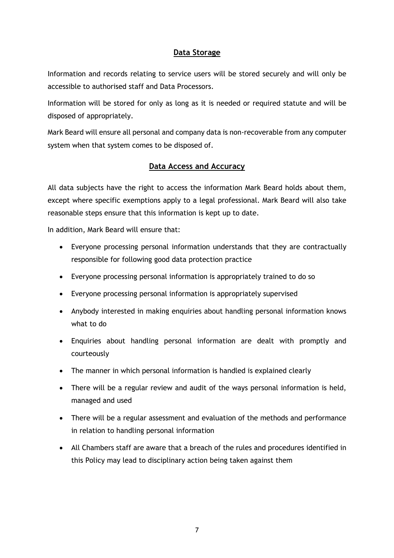#### **Data Storage**

Information and records relating to service users will be stored securely and will only be accessible to authorised staff and Data Processors.

Information will be stored for only as long as it is needed or required statute and will be disposed of appropriately.

Mark Beard will ensure all personal and company data is non-recoverable from any computer system when that system comes to be disposed of.

#### **Data Access and Accuracy**

All data subjects have the right to access the information Mark Beard holds about them, except where specific exemptions apply to a legal professional. Mark Beard will also take reasonable steps ensure that this information is kept up to date.

In addition, Mark Beard will ensure that:

- Everyone processing personal information understands that they are contractually responsible for following good data protection practice
- Everyone processing personal information is appropriately trained to do so
- Everyone processing personal information is appropriately supervised
- Anybody interested in making enquiries about handling personal information knows what to do
- Enquiries about handling personal information are dealt with promptly and courteously
- The manner in which personal information is handled is explained clearly
- There will be a regular review and audit of the ways personal information is held, managed and used
- There will be a regular assessment and evaluation of the methods and performance in relation to handling personal information
- All Chambers staff are aware that a breach of the rules and procedures identified in this Policy may lead to disciplinary action being taken against them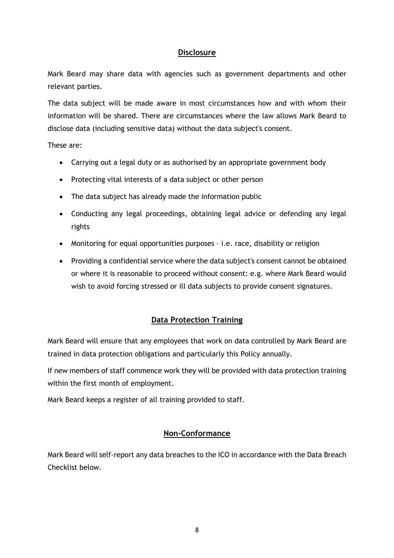#### **Disclosure**

Mark Beard may share data with agencies such as government departments and other relevant parties.

The data subject will be made aware in most circumstances how and with whom their information will be shared. There are circumstances where the law allows Mark Beard to disclose data (including sensitive data) without the data subject's consent.

These are:

- Carrying out a legal duty or as authorised by an appropriate government body
- Protecting vital interests of a data subject or other person
- The data subject has already made the information public
- Conducting any legal proceedings, obtaining legal advice or defending any legal rights
- Monitoring for equal opportunities purposes i.e. race, disability or religion
- Providing a confidential service where the data subject's consent cannot be obtained or where it is reasonable to proceed without consent: e.g. where Mark Beard would wish to avoid forcing stressed or ill data subjects to provide consent signatures.

### **Data Protection Training**

Mark Beard will ensure that any employees that work on data controlled by Mark Beard are trained in data protection obligations and particularly this Policy annually.

If new members of staff commence work they will be provided with data protection training within the first month of employment.

Mark Beard keeps a register of all training provided to staff.

#### **Non-Conformance**

Mark Beard will self-report any data breaches to the ICO in accordance with the Data Breach Checklist below.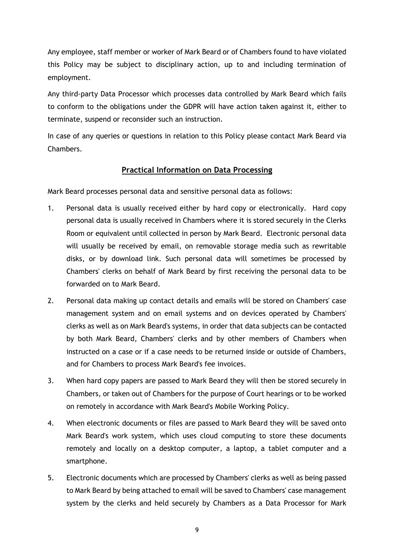Any employee, staff member or worker of Mark Beard or of Chambers found to have violated this Policy may be subject to disciplinary action, up to and including termination of employment.

Any third-party Data Processor which processes data controlled by Mark Beard which fails to conform to the obligations under the GDPR will have action taken against it, either to terminate, suspend or reconsider such an instruction.

In case of any queries or questions in relation to this Policy please contact Mark Beard via Chambers.

### **Practical Information on Data Processing**

Mark Beard processes personal data and sensitive personal data as follows:

- 1. Personal data is usually received either by hard copy or electronically. Hard copy personal data is usually received in Chambers where it is stored securely in the Clerks Room or equivalent until collected in person by Mark Beard. Electronic personal data will usually be received by email, on removable storage media such as rewritable disks, or by download link. Such personal data will sometimes be processed by Chambers' clerks on behalf of Mark Beard by first receiving the personal data to be forwarded on to Mark Beard.
- 2. Personal data making up contact details and emails will be stored on Chambers' case management system and on email systems and on devices operated by Chambers' clerks as well as on Mark Beard's systems, in order that data subjects can be contacted by both Mark Beard, Chambers' clerks and by other members of Chambers when instructed on a case or if a case needs to be returned inside or outside of Chambers, and for Chambers to process Mark Beard's fee invoices.
- 3. When hard copy papers are passed to Mark Beard they will then be stored securely in Chambers, or taken out of Chambers for the purpose of Court hearings or to be worked on remotely in accordance with Mark Beard's Mobile Working Policy.
- 4. When electronic documents or files are passed to Mark Beard they will be saved onto Mark Beard's work system, which uses cloud computing to store these documents remotely and locally on a desktop computer, a laptop, a tablet computer and a smartphone.
- 5. Electronic documents which are processed by Chambers' clerks as well as being passed to Mark Beard by being attached to email will be saved to Chambers' case management system by the clerks and held securely by Chambers as a Data Processor for Mark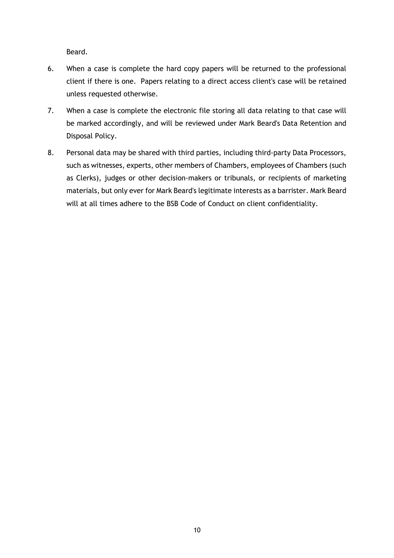Beard.

- 6. When a case is complete the hard copy papers will be returned to the professional client if there is one. Papers relating to a direct access client's case will be retained unless requested otherwise.
- 7. When a case is complete the electronic file storing all data relating to that case will be marked accordingly, and will be reviewed under Mark Beard's Data Retention and Disposal Policy.
- 8. Personal data may be shared with third parties, including third-party Data Processors, such as witnesses, experts, other members of Chambers, employees of Chambers (such as Clerks), judges or other decision-makers or tribunals, or recipients of marketing materials, but only ever for Mark Beard's legitimate interests as a barrister. Mark Beard will at all times adhere to the BSB Code of Conduct on client confidentiality.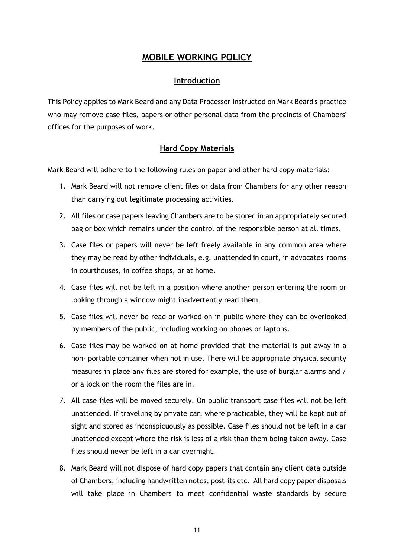## **MOBILE WORKING POLICY**

#### **Introduction**

This Policy applies to Mark Beard and any Data Processor instructed on Mark Beard's practice who may remove case files, papers or other personal data from the precincts of Chambers' offices for the purposes of work.

### **Hard Copy Materials**

Mark Beard will adhere to the following rules on paper and other hard copy materials:

- 1. Mark Beard will not remove client files or data from Chambers for any other reason than carrying out legitimate processing activities.
- 2. All files or case papers leaving Chambers are to be stored in an appropriately secured bag or box which remains under the control of the responsible person at all times.
- 3. Case files or papers will never be left freely available in any common area where they may be read by other individuals, e.g. unattended in court, in advocates' rooms in courthouses, in coffee shops, or at home.
- 4. Case files will not be left in a position where another person entering the room or looking through a window might inadvertently read them.
- 5. Case files will never be read or worked on in public where they can be overlooked by members of the public, including working on phones or laptops.
- 6. Case files may be worked on at home provided that the material is put away in a non- portable container when not in use. There will be appropriate physical security measures in place any files are stored for example, the use of burglar alarms and / or a lock on the room the files are in.
- 7. All case files will be moved securely. On public transport case files will not be left unattended. If travelling by private car, where practicable, they will be kept out of sight and stored as inconspicuously as possible. Case files should not be left in a car unattended except where the risk is less of a risk than them being taken away. Case files should never be left in a car overnight.
- 8. Mark Beard will not dispose of hard copy papers that contain any client data outside of Chambers, including handwritten notes, post-its etc. All hard copy paper disposals will take place in Chambers to meet confidential waste standards by secure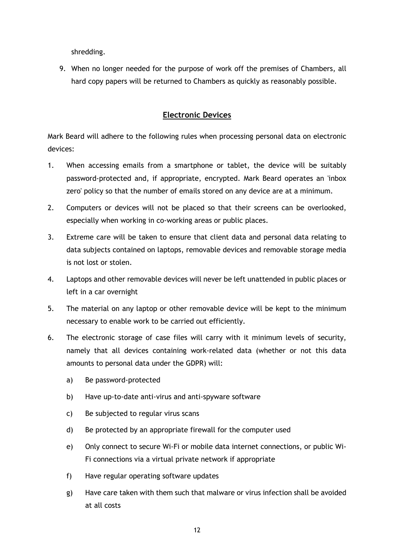shredding.

9. When no longer needed for the purpose of work off the premises of Chambers, all hard copy papers will be returned to Chambers as quickly as reasonably possible.

### **Electronic Devices**

Mark Beard will adhere to the following rules when processing personal data on electronic devices:

- 1. When accessing emails from a smartphone or tablet, the device will be suitably password-protected and, if appropriate, encrypted. Mark Beard operates an 'inbox zero' policy so that the number of emails stored on any device are at a minimum.
- 2. Computers or devices will not be placed so that their screens can be overlooked, especially when working in co-working areas or public places.
- 3. Extreme care will be taken to ensure that client data and personal data relating to data subjects contained on laptops, removable devices and removable storage media is not lost or stolen.
- 4. Laptops and other removable devices will never be left unattended in public places or left in a car overnight
- 5. The material on any laptop or other removable device will be kept to the minimum necessary to enable work to be carried out efficiently.
- 6. The electronic storage of case files will carry with it minimum levels of security, namely that all devices containing work-related data (whether or not this data amounts to personal data under the GDPR) will:
	- a) Be password-protected
	- b) Have up-to-date anti-virus and anti-spyware software
	- c) Be subjected to regular virus scans
	- d) Be protected by an appropriate firewall for the computer used
	- e) Only connect to secure Wi-Fi or mobile data internet connections, or public Wi-Fi connections via a virtual private network if appropriate
	- f) Have regular operating software updates
	- g) Have care taken with them such that malware or virus infection shall be avoided at all costs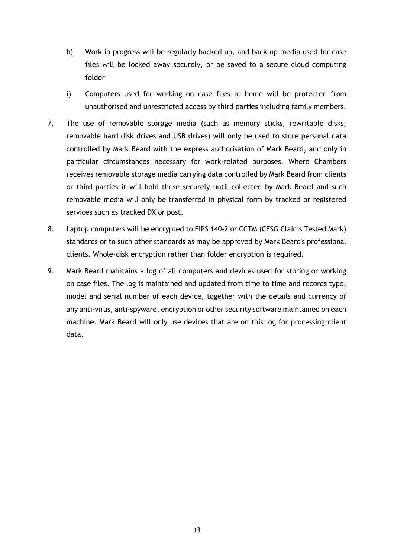- h) Work in progress will be regularly backed up, and back-up media used for case files will be locked away securely, or be saved to a secure cloud computing folder
- i) Computers used for working on case files at home will be protected from unauthorised and unrestricted access by third parties including family members.
- 7. The use of removable storage media (such as memory sticks, rewritable disks, removable hard disk drives and USB drives) will only be used to store personal data controlled by Mark Beard with the express authorisation of Mark Beard, and only in particular circumstances necessary for work-related purposes. Where Chambers receives removable storage media carrying data controlled by Mark Beard from clients or third parties it will hold these securely until collected by Mark Beard and such removable media will only be transferred in physical form by tracked or registered services such as tracked DX or post.
- 8. Laptop computers will be encrypted to FIPS 140-2 or CCTM (CESG Claims Tested Mark) standards or to such other standards as may be approved by Mark Beard's professional clients. Whole-disk encryption rather than folder encryption is required.
- 9. Mark Beard maintains a log of all computers and devices used for storing or working on case files. The log is maintained and updated from time to time and records type, model and serial number of each device, together with the details and currency of any anti-virus, anti-spyware, encryption or other security software maintained on each machine. Mark Beard will only use devices that are on this log for processing client data.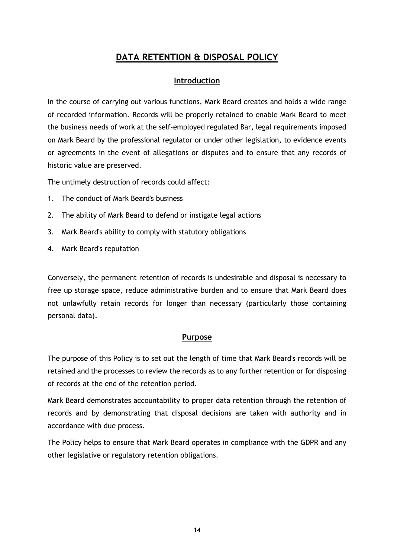# **DATA RETENTION & DISPOSAL POLICY**

#### **Introduction**

In the course of carrying out various functions, Mark Beard creates and holds a wide range of recorded information. Records will be properly retained to enable Mark Beard to meet the business needs of work at the self-employed regulated Bar, legal requirements imposed on Mark Beard by the professional regulator or under other legislation, to evidence events or agreements in the event of allegations or disputes and to ensure that any records of historic value are preserved.

The untimely destruction of records could affect:

- 1. The conduct of Mark Beard's business
- 2. The ability of Mark Beard to defend or instigate legal actions
- 3. Mark Beard's ability to comply with statutory obligations
- 4. Mark Beard's reputation

Conversely, the permanent retention of records is undesirable and disposal is necessary to free up storage space, reduce administrative burden and to ensure that Mark Beard does not unlawfully retain records for longer than necessary (particularly those containing personal data).

#### **Purpose**

The purpose of this Policy is to set out the length of time that Mark Beard's records will be retained and the processes to review the records as to any further retention or for disposing of records at the end of the retention period.

Mark Beard demonstrates accountability to proper data retention through the retention of records and by demonstrating that disposal decisions are taken with authority and in accordance with due process.

The Policy helps to ensure that Mark Beard operates in compliance with the GDPR and any other legislative or regulatory retention obligations.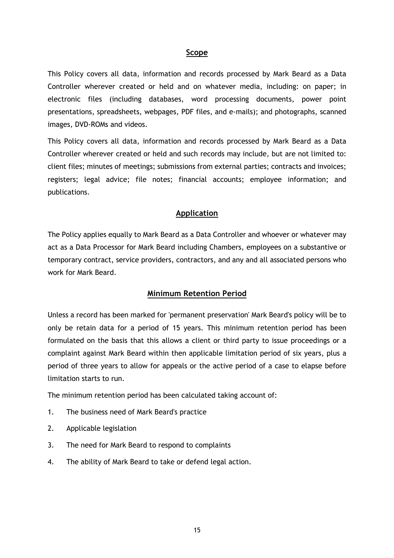#### **Scope**

This Policy covers all data, information and records processed by Mark Beard as a Data Controller wherever created or held and on whatever media, including: on paper; in electronic files (including databases, word processing documents, power point presentations, spreadsheets, webpages, PDF files, and e-mails); and photographs, scanned images, DVD-ROMs and videos.

This Policy covers all data, information and records processed by Mark Beard as a Data Controller wherever created or held and such records may include, but are not limited to: client files; minutes of meetings; submissions from external parties; contracts and invoices; registers; legal advice; file notes; financial accounts; employee information; and publications.

#### **Application**

The Policy applies equally to Mark Beard as a Data Controller and whoever or whatever may act as a Data Processor for Mark Beard including Chambers, employees on a substantive or temporary contract, service providers, contractors, and any and all associated persons who work for Mark Beard.

#### **Minimum Retention Period**

Unless a record has been marked for 'permanent preservation' Mark Beard's policy will be to only be retain data for a period of 15 years. This minimum retention period has been formulated on the basis that this allows a client or third party to issue proceedings or a complaint against Mark Beard within then applicable limitation period of six years, plus a period of three years to allow for appeals or the active period of a case to elapse before limitation starts to run.

The minimum retention period has been calculated taking account of:

- 1. The business need of Mark Beard's practice
- 2. Applicable legislation
- 3. The need for Mark Beard to respond to complaints
- 4. The ability of Mark Beard to take or defend legal action.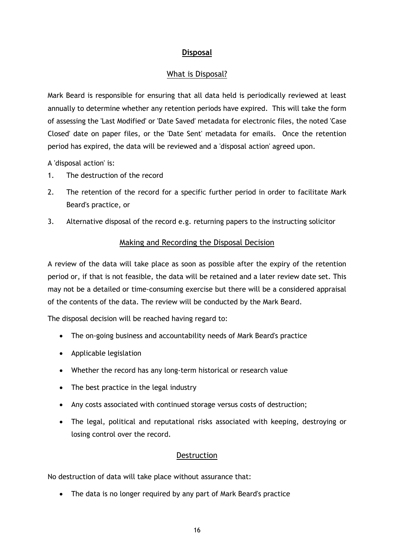### **Disposal**

### What is Disposal?

Mark Beard is responsible for ensuring that all data held is periodically reviewed at least annually to determine whether any retention periods have expired. This will take the form of assessing the 'Last Modified' or 'Date Saved' metadata for electronic files, the noted 'Case Closed' date on paper files, or the 'Date Sent' metadata for emails. Once the retention period has expired, the data will be reviewed and a 'disposal action' agreed upon.

A 'disposal action' is:

- 1. The destruction of the record
- 2. The retention of the record for a specific further period in order to facilitate Mark Beard's practice, or
- 3. Alternative disposal of the record e.g. returning papers to the instructing solicitor

#### Making and Recording the Disposal Decision

A review of the data will take place as soon as possible after the expiry of the retention period or, if that is not feasible, the data will be retained and a later review date set. This may not be a detailed or time-consuming exercise but there will be a considered appraisal of the contents of the data. The review will be conducted by the Mark Beard.

The disposal decision will be reached having regard to:

- The on-going business and accountability needs of Mark Beard's practice
- Applicable legislation
- Whether the record has any long-term historical or research value
- The best practice in the legal industry
- Any costs associated with continued storage versus costs of destruction;
- The legal, political and reputational risks associated with keeping, destroying or losing control over the record.

### **Destruction**

No destruction of data will take place without assurance that:

• The data is no longer required by any part of Mark Beard's practice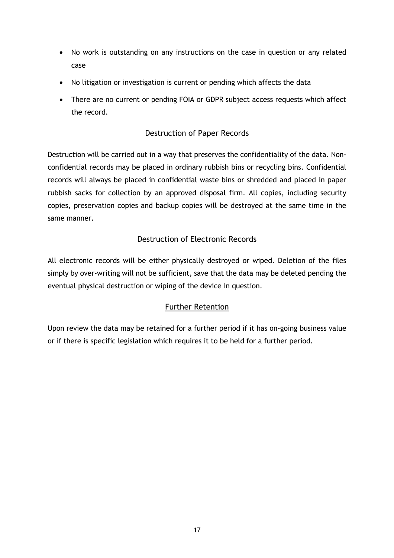- No work is outstanding on any instructions on the case in question or any related case
- No litigation or investigation is current or pending which affects the data
- There are no current or pending FOIA or GDPR subject access requests which affect the record.

### Destruction of Paper Records

Destruction will be carried out in a way that preserves the confidentiality of the data. Nonconfidential records may be placed in ordinary rubbish bins or recycling bins. Confidential records will always be placed in confidential waste bins or shredded and placed in paper rubbish sacks for collection by an approved disposal firm. All copies, including security copies, preservation copies and backup copies will be destroyed at the same time in the same manner.

### Destruction of Electronic Records

All electronic records will be either physically destroyed or wiped. Deletion of the files simply by over-writing will not be sufficient, save that the data may be deleted pending the eventual physical destruction or wiping of the device in question.

### Further Retention

Upon review the data may be retained for a further period if it has on-going business value or if there is specific legislation which requires it to be held for a further period.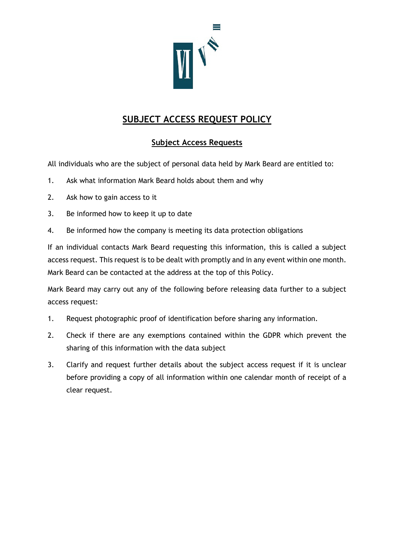

# **SUBJECT ACCESS REQUEST POLICY**

### **Subject Access Requests**

All individuals who are the subject of personal data held by Mark Beard are entitled to:

- 1. Ask what information Mark Beard holds about them and why
- 2. Ask how to gain access to it
- 3. Be informed how to keep it up to date
- 4. Be informed how the company is meeting its data protection obligations

If an individual contacts Mark Beard requesting this information, this is called a subject access request. This request is to be dealt with promptly and in any event within one month. Mark Beard can be contacted at the address at the top of this Policy.

Mark Beard may carry out any of the following before releasing data further to a subject access request:

- 1. Request photographic proof of identification before sharing any information.
- 2. Check if there are any exemptions contained within the GDPR which prevent the sharing of this information with the data subject
- 3. Clarify and request further details about the subject access request if it is unclear before providing a copy of all information within one calendar month of receipt of a clear request.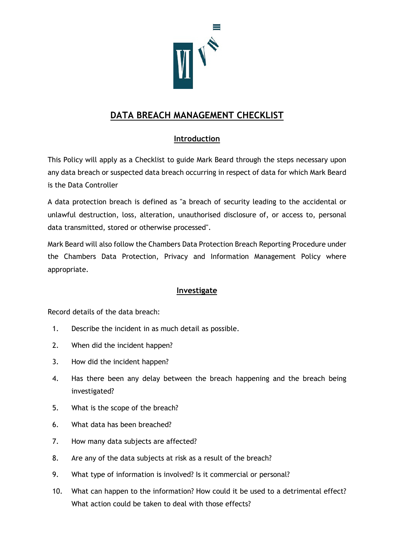

# **DATA BREACH MANAGEMENT CHECKLIST**

## **Introduction**

This Policy will apply as a Checklist to guide Mark Beard through the steps necessary upon any data breach or suspected data breach occurring in respect of data for which Mark Beard is the Data Controller

A data protection breach is defined as "a breach of security leading to the accidental or unlawful destruction, loss, alteration, unauthorised disclosure of, or access to, personal data transmitted, stored or otherwise processed".

Mark Beard will also follow the Chambers Data Protection Breach Reporting Procedure under the Chambers Data Protection, Privacy and Information Management Policy where appropriate.

### **Investigate**

Record details of the data breach:

- 1. Describe the incident in as much detail as possible.
- 2. When did the incident happen?
- 3. How did the incident happen?
- 4. Has there been any delay between the breach happening and the breach being investigated?
- 5. What is the scope of the breach?
- 6. What data has been breached?
- 7. How many data subjects are affected?
- 8. Are any of the data subjects at risk as a result of the breach?
- 9. What type of information is involved? Is it commercial or personal?
- 10. What can happen to the information? How could it be used to a detrimental effect? What action could be taken to deal with those effects?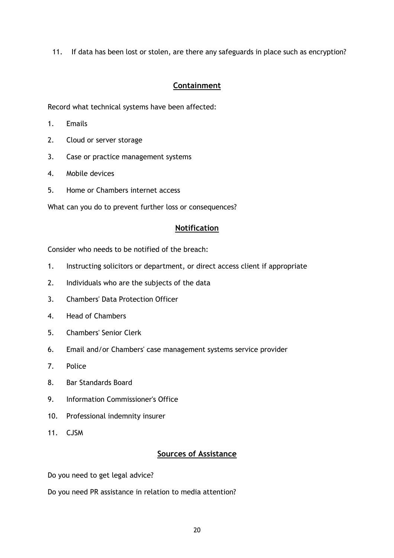11. If data has been lost or stolen, are there any safeguards in place such as encryption?

### **Containment**

Record what technical systems have been affected:

- 1. Emails
- 2. Cloud or server storage
- 3. Case or practice management systems
- 4. Mobile devices
- 5. Home or Chambers internet access

What can you do to prevent further loss or consequences?

#### **Notification**

Consider who needs to be notified of the breach:

- 1. Instructing solicitors or department, or direct access client if appropriate
- 2. Individuals who are the subjects of the data
- 3. Chambers' Data Protection Officer
- 4. Head of Chambers
- 5. Chambers' Senior Clerk
- 6. Email and/or Chambers' case management systems service provider
- 7. Police
- 8. Bar Standards Board
- 9. Information Commissioner's Office
- 10. Professional indemnity insurer
- 11. CJSM

#### **Sources of Assistance**

Do you need to get legal advice?

Do you need PR assistance in relation to media attention?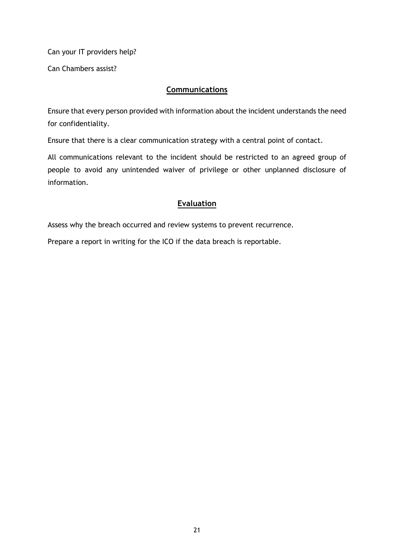Can your IT providers help?

Can Chambers assist?

### **Communications**

Ensure that every person provided with information about the incident understands the need for confidentiality.

Ensure that there is a clear communication strategy with a central point of contact.

All communications relevant to the incident should be restricted to an agreed group of people to avoid any unintended waiver of privilege or other unplanned disclosure of information.

#### **Evaluation**

Assess why the breach occurred and review systems to prevent recurrence.

Prepare a report in writing for the ICO if the data breach is reportable.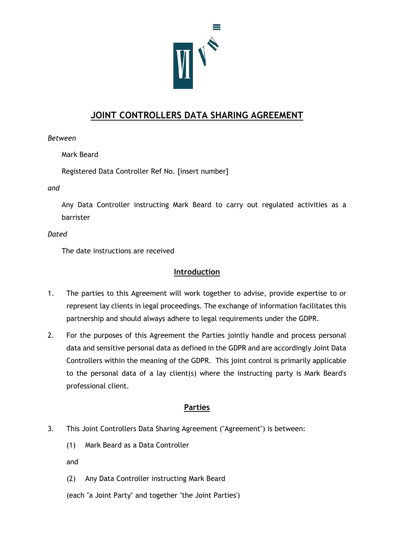

# **JOINT CONTROLLERS DATA SHARING AGREEMENT**

*Between*

Mark Beard

Registered Data Controller Ref No. [insert number]

*and*

Any Data Controller instructing Mark Beard to carry out regulated activities as a barrister

#### *Dated*

The date instructions are received

#### **Introduction**

- 1. The parties to this Agreement will work together to advise, provide expertise to or represent lay clients in legal proceedings. The exchange of information facilitates this partnership and should always adhere to legal requirements under the GDPR.
- 2. For the purposes of this Agreement the Parties jointly handle and process personal data and sensitive personal data as defined in the GDPR and are accordingly Joint Data Controllers within the meaning of the GDPR. This joint control is primarily applicable to the personal data of a lay client(s) where the instructing party is Mark Beard's professional client.

### **Parties**

- 3. This Joint Controllers Data Sharing Agreement ("Agreement") is between:
	- (1) Mark Beard as a Data Controller

and

(2) Any Data Controller instructing Mark Beard

(each "a Joint Party" and together "the Joint Parties')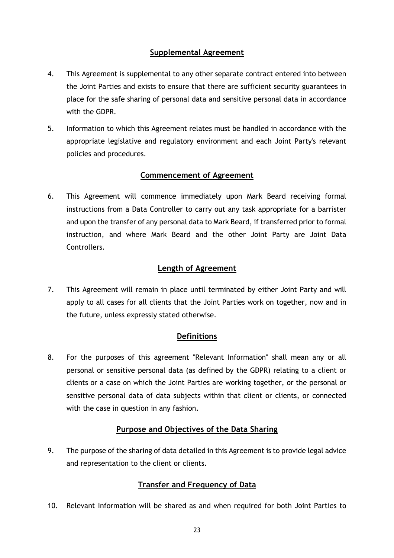### **Supplemental Agreement**

- 4. This Agreement is supplemental to any other separate contract entered into between the Joint Parties and exists to ensure that there are sufficient security guarantees in place for the safe sharing of personal data and sensitive personal data in accordance with the GDPR.
- 5. Information to which this Agreement relates must be handled in accordance with the appropriate legislative and regulatory environment and each Joint Party's relevant policies and procedures.

### **Commencement of Agreement**

6. This Agreement will commence immediately upon Mark Beard receiving formal instructions from a Data Controller to carry out any task appropriate for a barrister and upon the transfer of any personal data to Mark Beard, if transferred prior to formal instruction, and where Mark Beard and the other Joint Party are Joint Data Controllers.

#### **Length of Agreement**

7. This Agreement will remain in place until terminated by either Joint Party and will apply to all cases for all clients that the Joint Parties work on together, now and in the future, unless expressly stated otherwise.

### **Definitions**

8. For the purposes of this agreement "Relevant Information" shall mean any or all personal or sensitive personal data (as defined by the GDPR) relating to a client or clients or a case on which the Joint Parties are working together, or the personal or sensitive personal data of data subjects within that client or clients, or connected with the case in question in any fashion.

### **Purpose and Objectives of the Data Sharing**

9. The purpose of the sharing of data detailed in this Agreement is to provide legal advice and representation to the client or clients.

### **Transfer and Frequency of Data**

10. Relevant Information will be shared as and when required for both Joint Parties to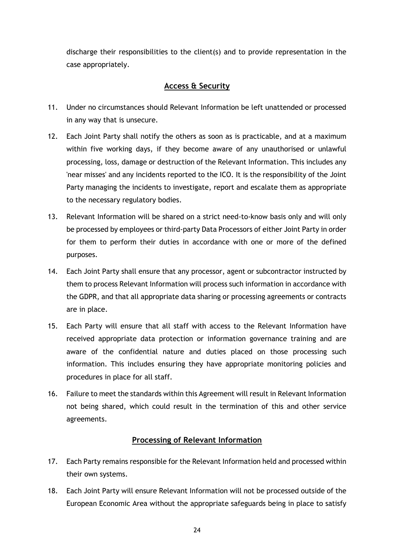discharge their responsibilities to the client(s) and to provide representation in the case appropriately.

### **Access & Security**

- 11. Under no circumstances should Relevant Information be left unattended or processed in any way that is unsecure.
- 12. Each Joint Party shall notify the others as soon as is practicable, and at a maximum within five working days, if they become aware of any unauthorised or unlawful processing, loss, damage or destruction of the Relevant Information. This includes any 'near misses' and any incidents reported to the ICO. It is the responsibility of the Joint Party managing the incidents to investigate, report and escalate them as appropriate to the necessary regulatory bodies.
- 13. Relevant Information will be shared on a strict need-to-know basis only and will only be processed by employees or third-party Data Processors of either Joint Party in order for them to perform their duties in accordance with one or more of the defined purposes.
- 14. Each Joint Party shall ensure that any processor, agent or subcontractor instructed by them to process Relevant Information will process such information in accordance with the GDPR, and that all appropriate data sharing or processing agreements or contracts are in place.
- 15. Each Party will ensure that all staff with access to the Relevant Information have received appropriate data protection or information governance training and are aware of the confidential nature and duties placed on those processing such information. This includes ensuring they have appropriate monitoring policies and procedures in place for all staff.
- 16. Failure to meet the standards within this Agreement will result in Relevant Information not being shared, which could result in the termination of this and other service agreements.

### **Processing of Relevant Information**

- 17. Each Party remains responsible for the Relevant Information held and processed within their own systems.
- 18. Each Joint Party will ensure Relevant Information will not be processed outside of the European Economic Area without the appropriate safeguards being in place to satisfy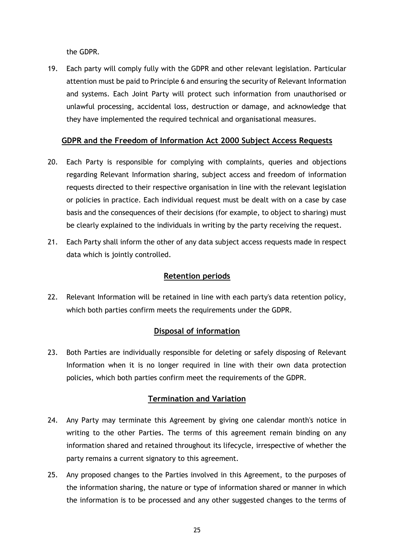the GDPR.

19. Each party will comply fully with the GDPR and other relevant legislation. Particular attention must be paid to Principle 6 and ensuring the security of Relevant Information and systems. Each Joint Party will protect such information from unauthorised or unlawful processing, accidental loss, destruction or damage, and acknowledge that they have implemented the required technical and organisational measures.

#### **GDPR and the Freedom of Information Act 2000 Subject Access Requests**

- 20. Each Party is responsible for complying with complaints, queries and objections regarding Relevant Information sharing, subject access and freedom of information requests directed to their respective organisation in line with the relevant legislation or policies in practice. Each individual request must be dealt with on a case by case basis and the consequences of their decisions (for example, to object to sharing) must be clearly explained to the individuals in writing by the party receiving the request.
- 21. Each Party shall inform the other of any data subject access requests made in respect data which is jointly controlled.

#### **Retention periods**

22. Relevant Information will be retained in line with each party's data retention policy, which both parties confirm meets the requirements under the GDPR.

#### **Disposal of information**

23. Both Parties are individually responsible for deleting or safely disposing of Relevant Information when it is no longer required in line with their own data protection policies, which both parties confirm meet the requirements of the GDPR.

#### **Termination and Variation**

- 24. Any Party may terminate this Agreement by giving one calendar month's notice in writing to the other Parties. The terms of this agreement remain binding on any information shared and retained throughout its lifecycle, irrespective of whether the party remains a current signatory to this agreement.
- 25. Any proposed changes to the Parties involved in this Agreement, to the purposes of the information sharing, the nature or type of information shared or manner in which the information is to be processed and any other suggested changes to the terms of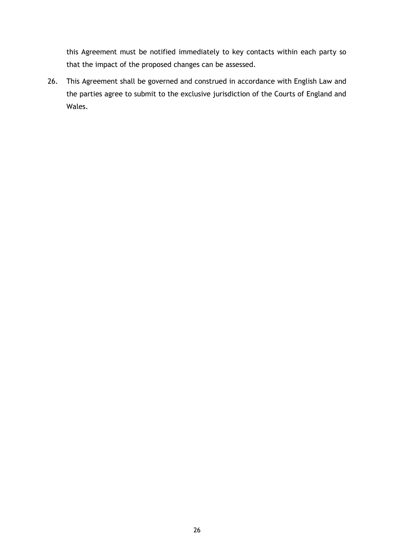this Agreement must be notified immediately to key contacts within each party so that the impact of the proposed changes can be assessed.

26. This Agreement shall be governed and construed in accordance with English Law and the parties agree to submit to the exclusive jurisdiction of the Courts of England and Wales.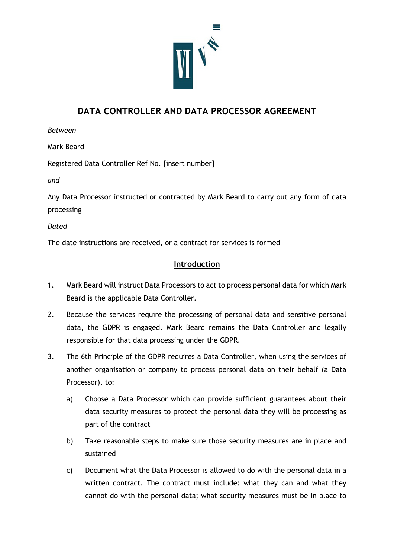

# **DATA CONTROLLER AND DATA PROCESSOR AGREEMENT**

*Between*

Mark Beard

Registered Data Controller Ref No. [insert number]

*and*

Any Data Processor instructed or contracted by Mark Beard to carry out any form of data processing

*Dated*

The date instructions are received, or a contract for services is formed

#### **Introduction**

- 1. Mark Beard will instruct Data Processors to act to process personal data for which Mark Beard is the applicable Data Controller.
- 2. Because the services require the processing of personal data and sensitive personal data, the GDPR is engaged. Mark Beard remains the Data Controller and legally responsible for that data processing under the GDPR.
- 3. The 6th Principle of the GDPR requires a Data Controller, when using the services of another organisation or company to process personal data on their behalf (a Data Processor), to:
	- a) Choose a Data Processor which can provide sufficient guarantees about their data security measures to protect the personal data they will be processing as part of the contract
	- b) Take reasonable steps to make sure those security measures are in place and sustained
	- c) Document what the Data Processor is allowed to do with the personal data in a written contract. The contract must include: what they can and what they cannot do with the personal data; what security measures must be in place to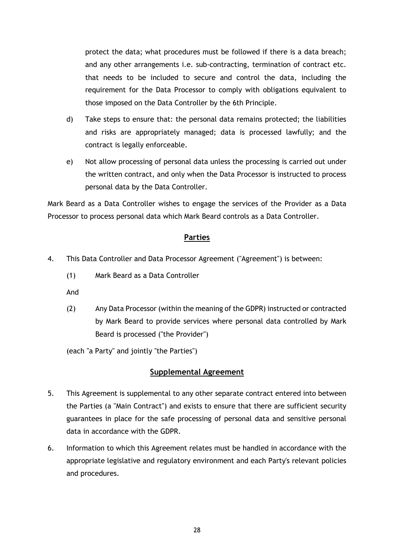protect the data; what procedures must be followed if there is a data breach; and any other arrangements i.e. sub-contracting, termination of contract etc. that needs to be included to secure and control the data, including the requirement for the Data Processor to comply with obligations equivalent to those imposed on the Data Controller by the 6th Principle.

- d) Take steps to ensure that: the personal data remains protected; the liabilities and risks are appropriately managed; data is processed lawfully; and the contract is legally enforceable.
- e) Not allow processing of personal data unless the processing is carried out under the written contract, and only when the Data Processor is instructed to process personal data by the Data Controller.

Mark Beard as a Data Controller wishes to engage the services of the Provider as a Data Processor to process personal data which Mark Beard controls as a Data Controller.

#### **Parties**

- 4. This Data Controller and Data Processor Agreement ("Agreement") is between:
	- (1) Mark Beard as a Data Controller

And

(2) Any Data Processor (within the meaning of the GDPR) instructed or contracted by Mark Beard to provide services where personal data controlled by Mark Beard is processed ("the Provider")

(each "a Party" and jointly "the Parties")

### **Supplemental Agreement**

- 5. This Agreement is supplemental to any other separate contract entered into between the Parties (a "Main Contract") and exists to ensure that there are sufficient security guarantees in place for the safe processing of personal data and sensitive personal data in accordance with the GDPR.
- 6. Information to which this Agreement relates must be handled in accordance with the appropriate legislative and regulatory environment and each Party's relevant policies and procedures.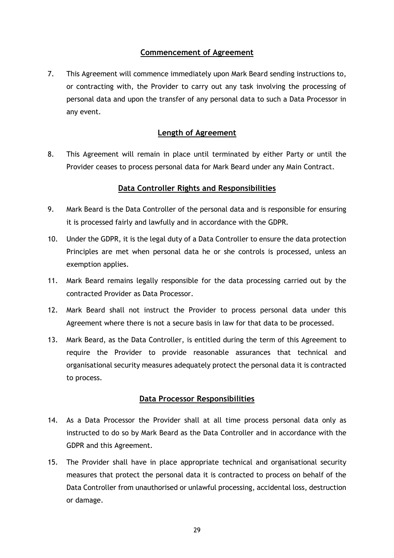#### **Commencement of Agreement**

7. This Agreement will commence immediately upon Mark Beard sending instructions to, or contracting with, the Provider to carry out any task involving the processing of personal data and upon the transfer of any personal data to such a Data Processor in any event.

#### **Length of Agreement**

8. This Agreement will remain in place until terminated by either Party or until the Provider ceases to process personal data for Mark Beard under any Main Contract.

#### **Data Controller Rights and Responsibilities**

- 9. Mark Beard is the Data Controller of the personal data and is responsible for ensuring it is processed fairly and lawfully and in accordance with the GDPR.
- 10. Under the GDPR, it is the legal duty of a Data Controller to ensure the data protection Principles are met when personal data he or she controls is processed, unless an exemption applies.
- 11. Mark Beard remains legally responsible for the data processing carried out by the contracted Provider as Data Processor.
- 12. Mark Beard shall not instruct the Provider to process personal data under this Agreement where there is not a secure basis in law for that data to be processed.
- 13. Mark Beard, as the Data Controller, is entitled during the term of this Agreement to require the Provider to provide reasonable assurances that technical and organisational security measures adequately protect the personal data it is contracted to process.

#### **Data Processor Responsibilities**

- 14. As a Data Processor the Provider shall at all time process personal data only as instructed to do so by Mark Beard as the Data Controller and in accordance with the GDPR and this Agreement.
- 15. The Provider shall have in place appropriate technical and organisational security measures that protect the personal data it is contracted to process on behalf of the Data Controller from unauthorised or unlawful processing, accidental loss, destruction or damage.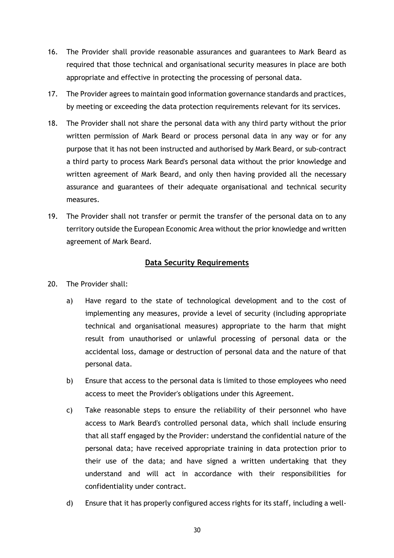- 16. The Provider shall provide reasonable assurances and guarantees to Mark Beard as required that those technical and organisational security measures in place are both appropriate and effective in protecting the processing of personal data.
- 17. The Provider agrees to maintain good information governance standards and practices, by meeting or exceeding the data protection requirements relevant for its services.
- 18. The Provider shall not share the personal data with any third party without the prior written permission of Mark Beard or process personal data in any way or for any purpose that it has not been instructed and authorised by Mark Beard, or sub-contract a third party to process Mark Beard's personal data without the prior knowledge and written agreement of Mark Beard, and only then having provided all the necessary assurance and guarantees of their adequate organisational and technical security measures.
- 19. The Provider shall not transfer or permit the transfer of the personal data on to any territory outside the European Economic Area without the prior knowledge and written agreement of Mark Beard.

#### **Data Security Requirements**

- 20. The Provider shall:
	- a) Have regard to the state of technological development and to the cost of implementing any measures, provide a level of security (including appropriate technical and organisational measures) appropriate to the harm that might result from unauthorised or unlawful processing of personal data or the accidental loss, damage or destruction of personal data and the nature of that personal data.
	- b) Ensure that access to the personal data is limited to those employees who need access to meet the Provider's obligations under this Agreement.
	- c) Take reasonable steps to ensure the reliability of their personnel who have access to Mark Beard's controlled personal data, which shall include ensuring that all staff engaged by the Provider: understand the confidential nature of the personal data; have received appropriate training in data protection prior to their use of the data; and have signed a written undertaking that they understand and will act in accordance with their responsibilities for confidentiality under contract.
	- d) Ensure that it has properly configured access rights for its staff, including a well-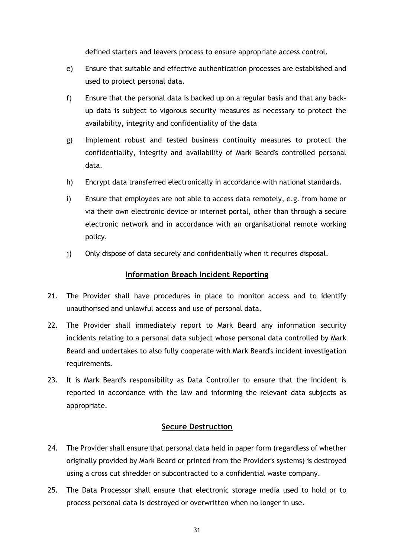defined starters and leavers process to ensure appropriate access control.

- e) Ensure that suitable and effective authentication processes are established and used to protect personal data.
- f) Ensure that the personal data is backed up on a regular basis and that any backup data is subject to vigorous security measures as necessary to protect the availability, integrity and confidentiality of the data
- g) Implement robust and tested business continuity measures to protect the confidentiality, integrity and availability of Mark Beard's controlled personal data.
- h) Encrypt data transferred electronically in accordance with national standards.
- i) Ensure that employees are not able to access data remotely, e.g. from home or via their own electronic device or internet portal, other than through a secure electronic network and in accordance with an organisational remote working policy.
- j) Only dispose of data securely and confidentially when it requires disposal.

#### **Information Breach Incident Reporting**

- 21. The Provider shall have procedures in place to monitor access and to identify unauthorised and unlawful access and use of personal data.
- 22. The Provider shall immediately report to Mark Beard any information security incidents relating to a personal data subject whose personal data controlled by Mark Beard and undertakes to also fully cooperate with Mark Beard's incident investigation requirements.
- 23. It is Mark Beard's responsibility as Data Controller to ensure that the incident is reported in accordance with the law and informing the relevant data subjects as appropriate.

#### **Secure Destruction**

- 24. The Provider shall ensure that personal data held in paper form (regardless of whether originally provided by Mark Beard or printed from the Provider's systems) is destroyed using a cross cut shredder or subcontracted to a confidential waste company.
- 25. The Data Processor shall ensure that electronic storage media used to hold or to process personal data is destroyed or overwritten when no longer in use.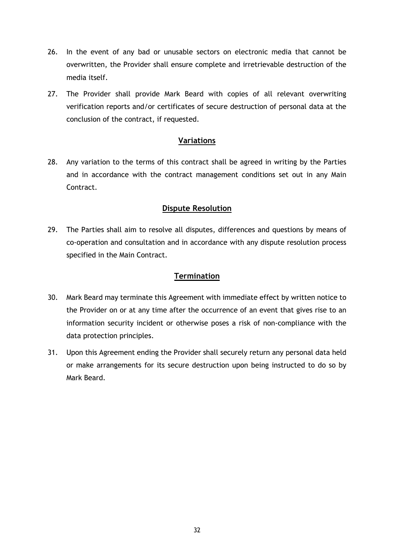- 26. In the event of any bad or unusable sectors on electronic media that cannot be overwritten, the Provider shall ensure complete and irretrievable destruction of the media itself.
- 27. The Provider shall provide Mark Beard with copies of all relevant overwriting verification reports and/or certificates of secure destruction of personal data at the conclusion of the contract, if requested.

#### **Variations**

28. Any variation to the terms of this contract shall be agreed in writing by the Parties and in accordance with the contract management conditions set out in any Main Contract.

### **Dispute Resolution**

29. The Parties shall aim to resolve all disputes, differences and questions by means of co-operation and consultation and in accordance with any dispute resolution process specified in the Main Contract.

### **Termination**

- 30. Mark Beard may terminate this Agreement with immediate effect by written notice to the Provider on or at any time after the occurrence of an event that gives rise to an information security incident or otherwise poses a risk of non-compliance with the data protection principles.
- 31. Upon this Agreement ending the Provider shall securely return any personal data held or make arrangements for its secure destruction upon being instructed to do so by Mark Beard.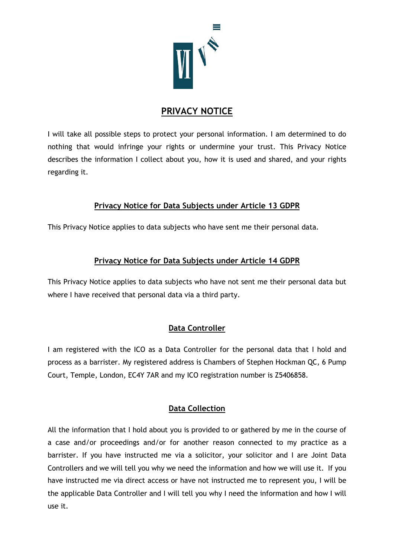

# **PRIVACY NOTICE**

I will take all possible steps to protect your personal information. I am determined to do nothing that would infringe your rights or undermine your trust. This Privacy Notice describes the information I collect about you, how it is used and shared, and your rights regarding it.

### **Privacy Notice for Data Subjects under Article 13 GDPR**

This Privacy Notice applies to data subjects who have sent me their personal data.

### **Privacy Notice for Data Subjects under Article 14 GDPR**

This Privacy Notice applies to data subjects who have not sent me their personal data but where I have received that personal data via a third party.

### **Data Controller**

I am registered with the ICO as a Data Controller for the personal data that I hold and process as a barrister. My registered address is Chambers of Stephen Hockman QC, 6 Pump Court, Temple, London, EC4Y 7AR and my ICO registration number is Z5406858.

### **Data Collection**

All the information that I hold about you is provided to or gathered by me in the course of a case and/or proceedings and/or for another reason connected to my practice as a barrister. If you have instructed me via a solicitor, your solicitor and I are Joint Data Controllers and we will tell you why we need the information and how we will use it. If you have instructed me via direct access or have not instructed me to represent you, I will be the applicable Data Controller and I will tell you why I need the information and how I will use it.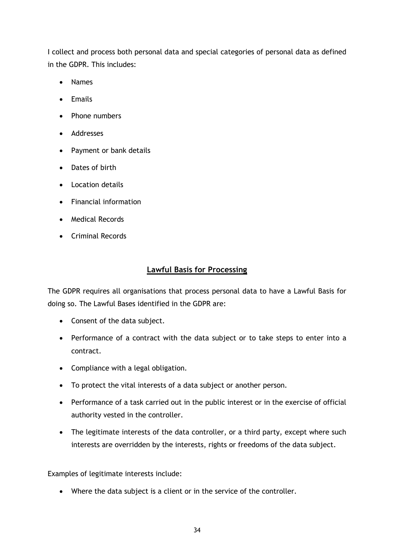I collect and process both personal data and special categories of personal data as defined in the GDPR. This includes:

- Names
- Emails
- Phone numbers
- Addresses
- Payment or bank details
- Dates of birth
- Location details
- Financial information
- Medical Records
- Criminal Records

#### **Lawful Basis for Processing**

The GDPR requires all organisations that process personal data to have a Lawful Basis for doing so. The Lawful Bases identified in the GDPR are:

- Consent of the data subject.
- Performance of a contract with the data subject or to take steps to enter into a contract.
- Compliance with a legal obligation.
- To protect the vital interests of a data subject or another person.
- Performance of a task carried out in the public interest or in the exercise of official authority vested in the controller.
- The legitimate interests of the data controller, or a third party, except where such interests are overridden by the interests, rights or freedoms of the data subject.

Examples of legitimate interests include:

• Where the data subject is a client or in the service of the controller.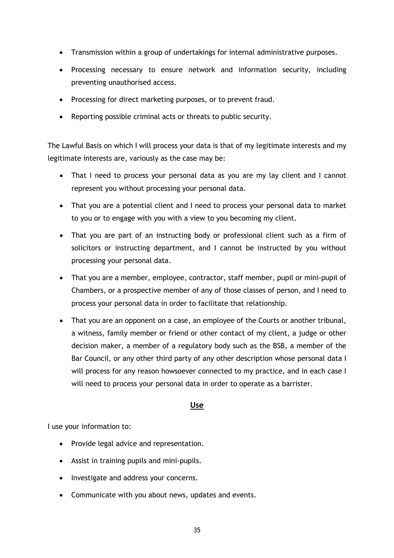- Transmission within a group of undertakings for internal administrative purposes.
- Processing necessary to ensure network and information security, including preventing unauthorised access.
- Processing for direct marketing purposes, or to prevent fraud.
- Reporting possible criminal acts or threats to public security.

The Lawful Basis on which I will process your data is that of my legitimate interests and my legitimate interests are, variously as the case may be:

- That I need to process your personal data as you are my lay client and I cannot represent you without processing your personal data.
- That you are a potential client and I need to process your personal data to market to you or to engage with you with a view to you becoming my client.
- That you are part of an instructing body or professional client such as a firm of solicitors or instructing department, and I cannot be instructed by you without processing your personal data.
- That you are a member, employee, contractor, staff member, pupil or mini-pupil of Chambers, or a prospective member of any of those classes of person, and I need to process your personal data in order to facilitate that relationship.
- That you are an opponent on a case, an employee of the Courts or another tribunal, a witness, family member or friend or other contact of my client, a judge or other decision maker, a member of a regulatory body such as the BSB, a member of the Bar Council, or any other third party of any other description whose personal data I will process for any reason howsoever connected to my practice, and in each case I will need to process your personal data in order to operate as a barrister.

#### **Use**

I use your information to:

- Provide legal advice and representation.
- Assist in training pupils and mini-pupils.
- Investigate and address your concerns.
- Communicate with you about news, updates and events.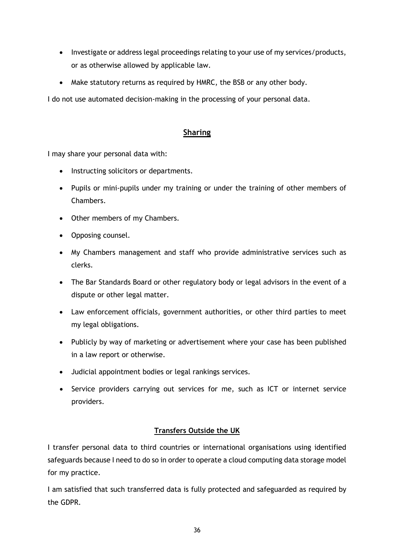- Investigate or address legal proceedings relating to your use of my services/products, or as otherwise allowed by applicable law.
- Make statutory returns as required by HMRC, the BSB or any other body.

I do not use automated decision-making in the processing of your personal data.

### **Sharing**

I may share your personal data with:

- Instructing solicitors or departments.
- Pupils or mini-pupils under my training or under the training of other members of Chambers.
- Other members of my Chambers.
- Opposing counsel.
- My Chambers management and staff who provide administrative services such as clerks.
- The Bar Standards Board or other regulatory body or legal advisors in the event of a dispute or other legal matter.
- Law enforcement officials, government authorities, or other third parties to meet my legal obligations.
- Publicly by way of marketing or advertisement where your case has been published in a law report or otherwise.
- Judicial appointment bodies or legal rankings services.
- Service providers carrying out services for me, such as ICT or internet service providers.

### **Transfers Outside the UK**

I transfer personal data to third countries or international organisations using identified safeguards because I need to do so in order to operate a cloud computing data storage model for my practice.

I am satisfied that such transferred data is fully protected and safeguarded as required by the GDPR.